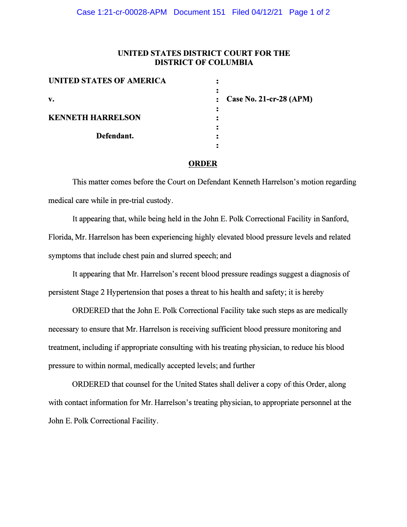## **UNITED STATES DISTRICT COURT FOR THE DISTRICT OF COLUMBIA**

| <b>UNITED STATES OF AMERICA</b> |                             |
|---------------------------------|-----------------------------|
| V.                              | : Case No. 21-cr-28 $(APM)$ |
| <b>KENNETH HARRELSON</b>        |                             |
| Defendant.                      |                             |

## **ORDER**

This matter comes before the Court on Defendant Kenneth Harrelson's motion regarding medical care while in pre-trial custody.

It appearing that, while being held in the John E. Polk Correctional Facility in Sanford, Florida, Mr. Harrelson has been experiencing highly elevated blood pressure levels and related symptoms that include chest pain and slurred speech; and

It appearing that Mr. Harrelson's recent blood pressure readings suggest a diagnosis of persistent Stage 2 Hypertension that poses a threat to his health and safety; it is hereby

ORDERED that the John E. Polk Correctional Facility take such steps as are medically necessary to ensure that Mr. Harrelson is receiving sufficient blood pressure monitoring and treatment, including if appropriate consulting with his treating physician, to reduce his blood pressure to within normal, medically accepted levels; and further

 ORDERED that counsel for the United States shall deliver a copy of this Order, along with contact information for Mr. Harrelson's treating physician, to appropriate personnel at the John E. Polk Correctional Facility.